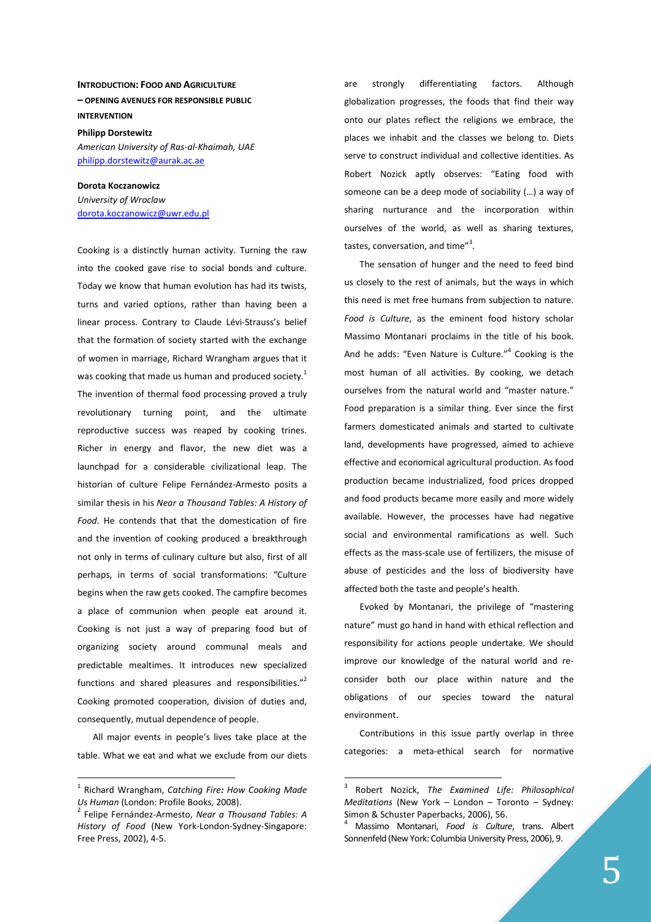## **INTRODUCTION: FOOD AND AGRICULTURE – OPENING AVENUES FOR RESPONSIBLE PUBLIC INTERVENTION**

**Philipp Dorstewitz**  *American University of Ras-al-Khaimah, UAE*  philipp.dorstewitz@aurak.ac.ae

**Dorota Koczanowicz** *University of Wroclaw*  dorota.koczanowicz@uwr.edu.pl

Cooking is a distinctly human activity. Turning the raw into the cooked gave rise to social bonds and culture. Today we know that human evolution has had its twists, turns and varied options, rather than having been a linear process. Contrary to Claude Lévi-Strauss's belief that the formation of society started with the exchange of women in marriage, Richard Wrangham argues that it was cooking that made us human and produced society.<sup>1</sup> The invention of thermal food processing proved a truly revolutionary turning point, and the ultimate reproductive success was reaped by cooking trines. Richer in energy and flavor, the new diet was a launchpad for a considerable civilizational leap. The historian of culture Felipe Fernández-Armesto posits a similar thesis in his *Near a Thousand Tables: A History of Food*. He contends that that the domestication of fire and the invention of cooking produced a breakthrough not only in terms of culinary culture but also, first of all perhaps, in terms of social transformations: "Culture begins when the raw gets cooked. The campfire becomes a place of communion when people eat around it. Cooking is not just a way of preparing food but of organizing society around communal meals and predictable mealtimes. It introduces new specialized functions and shared pleasures and responsibilities."<sup>2</sup> Cooking promoted cooperation, division of duties and, consequently, mutual dependence of people.

All major events in people's lives take place at the table. What we eat and what we exclude from our diets

 $\overline{a}$ 

are strongly differentiating factors. Although globalization progresses, the foods that find their way onto our plates reflect the religions we embrace, the places we inhabit and the classes we belong to. Diets serve to construct individual and collective identities. As Robert Nozick aptly observes: "Eating food with someone can be a deep mode of sociability (…) a way of sharing nurturance and the incorporation within ourselves of the world, as well as sharing textures, tastes, conversation, and time"<sup>3</sup>.

The sensation of hunger and the need to feed bind us closely to the rest of animals, but the ways in which this need is met free humans from subjection to nature. *Food is Culture*, as the eminent food history scholar Massimo Montanari proclaims in the title of his book. And he adds: "Even Nature is Culture."<sup>4</sup> Cooking is the most human of all activities. By cooking, we detach ourselves from the natural world and "master nature." Food preparation is a similar thing. Ever since the first farmers domesticated animals and started to cultivate land, developments have progressed, aimed to achieve effective and economical agricultural production. As food production became industrialized, food prices dropped and food products became more easily and more widely available. However, the processes have had negative social and environmental ramifications as well. Such effects as the mass-scale use of fertilizers, the misuse of abuse of pesticides and the loss of biodiversity have affected both the taste and people's health.

Evoked by Montanari, the privilege of "mastering nature" must go hand in hand with ethical reflection and responsibility for actions people undertake. We should improve our knowledge of the natural world and reconsider both our place within nature and the obligations of our species toward the natural environment.

Contributions in this issue partly overlap in three categories: a meta-ethical search for normative

 $\overline{a}$ 

<sup>1</sup> Richard Wrangham, *Catching Fire: How Cooking Made Us Human* (London: Profile Books, 2008).

<sup>2</sup> Felipe Fernández-Armesto, *Near a Thousand Tables: A History of Food* (New York-London-Sydney-Singapore: Free Press, 2002), 4-5.

<sup>3</sup> Robert Nozick, *The Examined Life: Philosophical Meditations* (New York – London – Toronto – Sydney: Simon & Schuster Paperbacks, 2006), 56.

<sup>4</sup> Massimo Montanari, *Food is Culture*, trans. Albert Sonnenfeld (New York: Columbia University Press, 2006), 9.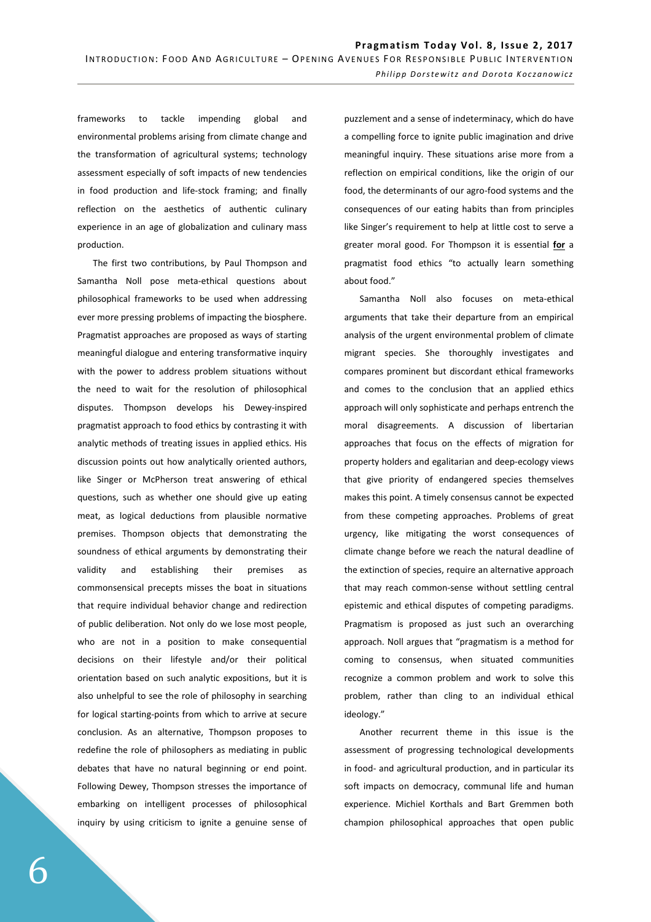frameworks to tackle impending global and environmental problems arising from climate change and the transformation of agricultural systems; technology assessment especially of soft impacts of new tendencies in food production and life-stock framing; and finally reflection on the aesthetics of authentic culinary experience in an age of globalization and culinary mass production.

The first two contributions, by Paul Thompson and Samantha Noll pose meta-ethical questions about philosophical frameworks to be used when addressing ever more pressing problems of impacting the biosphere. Pragmatist approaches are proposed as ways of starting meaningful dialogue and entering transformative inquiry with the power to address problem situations without the need to wait for the resolution of philosophical disputes. Thompson develops his Dewey-inspired pragmatist approach to food ethics by contrasting it with analytic methods of treating issues in applied ethics. His discussion points out how analytically oriented authors, like Singer or McPherson treat answering of ethical questions, such as whether one should give up eating meat, as logical deductions from plausible normative premises. Thompson objects that demonstrating the soundness of ethical arguments by demonstrating their validity and establishing their premises as commonsensical precepts misses the boat in situations that require individual behavior change and redirection of public deliberation. Not only do we lose most people, who are not in a position to make consequential decisions on their lifestyle and/or their political orientation based on such analytic expositions, but it is also unhelpful to see the role of philosophy in searching for logical starting-points from which to arrive at secure conclusion. As an alternative, Thompson proposes to redefine the role of philosophers as mediating in public debates that have no natural beginning or end point. Following Dewey, Thompson stresses the importance of embarking on intelligent processes of philosophical inquiry by using criticism to ignite a genuine sense of

puzzlement and a sense of indeterminacy, which do have a compelling force to ignite public imagination and drive meaningful inquiry. These situations arise more from a reflection on empirical conditions, like the origin of our food, the determinants of our agro-food systems and the consequences of our eating habits than from principles like Singer's requirement to help at little cost to serve a greater moral good. For Thompson it is essential **for** a pragmatist food ethics "to actually learn something about food."

Samantha Noll also focuses on meta-ethical arguments that take their departure from an empirical analysis of the urgent environmental problem of climate migrant species. She thoroughly investigates and compares prominent but discordant ethical frameworks and comes to the conclusion that an applied ethics approach will only sophisticate and perhaps entrench the moral disagreements. A discussion of libertarian approaches that focus on the effects of migration for property holders and egalitarian and deep-ecology views that give priority of endangered species themselves makes this point. A timely consensus cannot be expected from these competing approaches. Problems of great urgency, like mitigating the worst consequences of climate change before we reach the natural deadline of the extinction of species, require an alternative approach that may reach common-sense without settling central epistemic and ethical disputes of competing paradigms. Pragmatism is proposed as just such an overarching approach. Noll argues that "pragmatism is a method for coming to consensus, when situated communities recognize a common problem and work to solve this problem, rather than cling to an individual ethical ideology."

Another recurrent theme in this issue is the assessment of progressing technological developments in food- and agricultural production, and in particular its soft impacts on democracy, communal life and human experience. Michiel Korthals and Bart Gremmen both champion philosophical approaches that open public

6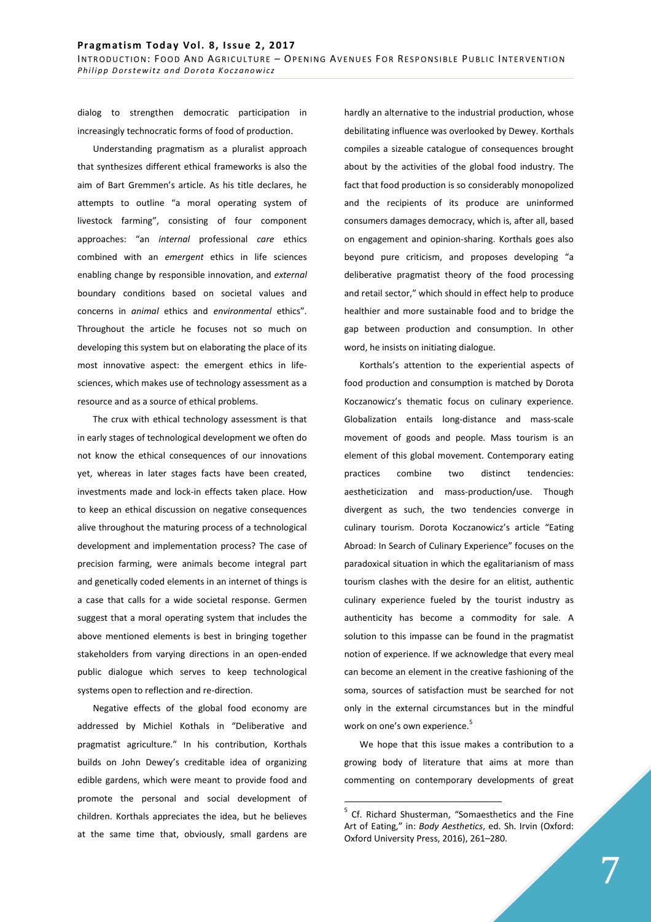dialog to strengthen democratic participation in increasingly technocratic forms of food of production.

Understanding pragmatism as a pluralist approach that synthesizes different ethical frameworks is also the aim of Bart Gremmen's article. As his title declares, he attempts to outline "a moral operating system of livestock farming", consisting of four component approaches: "an *internal* professional *care* ethics combined with an *emergent* ethics in life sciences enabling change by responsible innovation, and *external* boundary conditions based on societal values and concerns in *animal* ethics and *environmental* ethics". Throughout the article he focuses not so much on developing this system but on elaborating the place of its most innovative aspect: the emergent ethics in lifesciences, which makes use of technology assessment as a resource and as a source of ethical problems.

The crux with ethical technology assessment is that in early stages of technological development we often do not know the ethical consequences of our innovations yet, whereas in later stages facts have been created, investments made and lock-in effects taken place. How to keep an ethical discussion on negative consequences alive throughout the maturing process of a technological development and implementation process? The case of precision farming, were animals become integral part and genetically coded elements in an internet of things is a case that calls for a wide societal response. Germen suggest that a moral operating system that includes the above mentioned elements is best in bringing together stakeholders from varying directions in an open-ended public dialogue which serves to keep technological systems open to reflection and re-direction.

Negative effects of the global food economy are addressed by Michiel Kothals in "Deliberative and pragmatist agriculture." In his contribution, Korthals builds on John Dewey's creditable idea of organizing edible gardens, which were meant to provide food and promote the personal and social development of children. Korthals appreciates the idea, but he believes at the same time that, obviously, small gardens are hardly an alternative to the industrial production, whose debilitating influence was overlooked by Dewey. Korthals compiles a sizeable catalogue of consequences brought about by the activities of the global food industry. The fact that food production is so considerably monopolized and the recipients of its produce are uninformed consumers damages democracy, which is, after all, based on engagement and opinion-sharing. Korthals goes also beyond pure criticism, and proposes developing "a deliberative pragmatist theory of the food processing and retail sector," which should in effect help to produce healthier and more sustainable food and to bridge the gap between production and consumption. In other word, he insists on initiating dialogue.

Korthals's attention to the experiential aspects of food production and consumption is matched by Dorota Koczanowicz's thematic focus on culinary experience. Globalization entails long-distance and mass-scale movement of goods and people. Mass tourism is an element of this global movement. Contemporary eating practices combine two distinct tendencies: aestheticization and mass-production/use. Though divergent as such, the two tendencies converge in culinary tourism. Dorota Koczanowicz's article "Eating Abroad: In Search of Culinary Experience" focuses on the paradoxical situation in which the egalitarianism of mass tourism clashes with the desire for an elitist, authentic culinary experience fueled by the tourist industry as authenticity has become a commodity for sale. A solution to this impasse can be found in the pragmatist notion of experience. If we acknowledge that every meal can become an element in the creative fashioning of the soma, sources of satisfaction must be searched for not only in the external circumstances but in the mindful work on one's own experience.<sup>5</sup>

We hope that this issue makes a contribution to a growing body of literature that aims at more than commenting on contemporary developments of great

 $\overline{a}$ 

<sup>&</sup>lt;sup>5</sup> Cf. Richard Shusterman, "Somaesthetics and the Fine Art of Eating," in: *Body Aesthetics*, ed. Sh. Irvin (Oxford: Oxford University Press, 2016), 261–280.